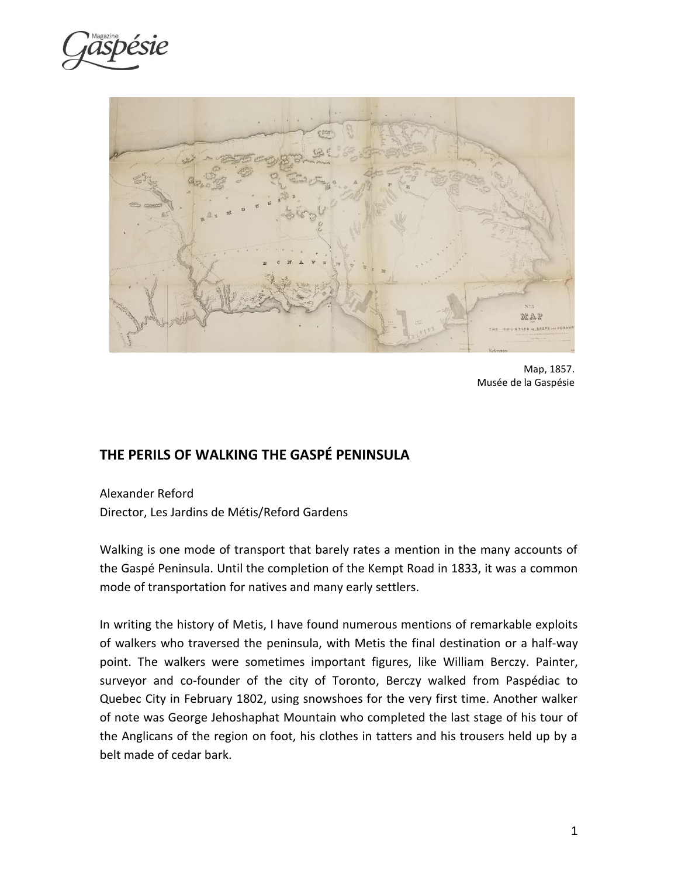



Map, 1857. Musée de la Gaspésie

## **THE PERILS OF WALKING THE GASPÉ PENINSULA**

Alexander Reford Director, Les Jardins de Métis/Reford Gardens

Walking is one mode of transport that barely rates a mention in the many accounts of the Gaspé Peninsula. Until the completion of the Kempt Road in 1833, it was a common mode of transportation for natives and many early settlers.

In writing the history of Metis, I have found numerous mentions of remarkable exploits of walkers who traversed the peninsula, with Metis the final destination or a half-way point. The walkers were sometimes important figures, like William Berczy. Painter, surveyor and co-founder of the city of Toronto, Berczy walked from Paspédiac to Quebec City in February 1802, using snowshoes for the very first time. Another walker of note was George Jehoshaphat Mountain who completed the last stage of his tour of the Anglicans of the region on foot, his clothes in tatters and his trousers held up by a belt made of cedar bark.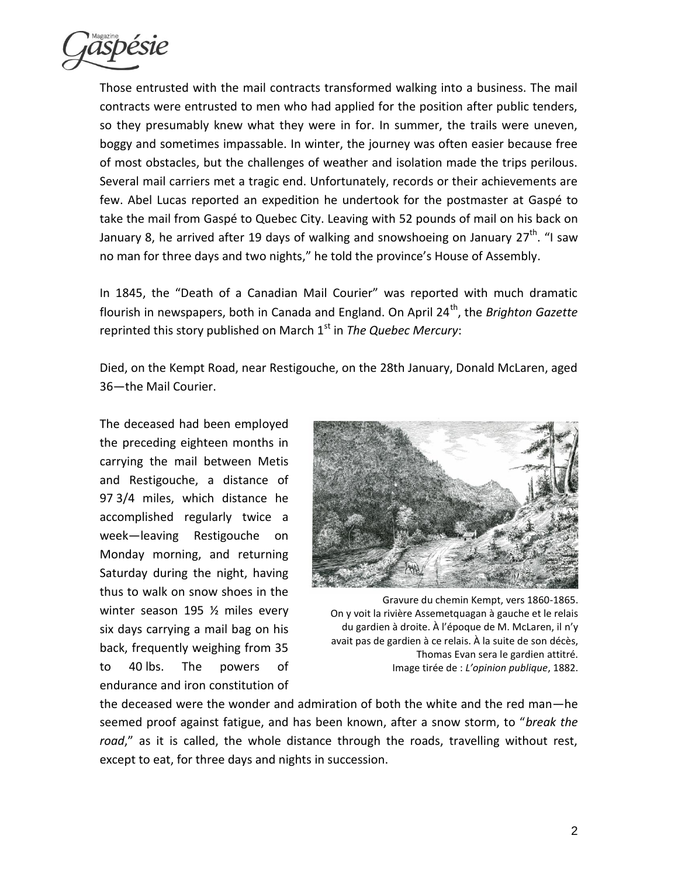

Those entrusted with the mail contracts transformed walking into a business. The mail contracts were entrusted to men who had applied for the position after public tenders, so they presumably knew what they were in for. In summer, the trails were uneven, boggy and sometimes impassable. In winter, the journey was often easier because free of most obstacles, but the challenges of weather and isolation made the trips perilous. Several mail carriers met a tragic end. Unfortunately, records or their achievements are few. Abel Lucas reported an expedition he undertook for the postmaster at Gaspé to take the mail from Gaspé to Quebec City. Leaving with 52 pounds of mail on his back on January 8, he arrived after 19 days of walking and snowshoeing on January 27<sup>th</sup>. "I saw no man for three days and two nights," he told the province's House of Assembly.

In 1845, the "Death of a Canadian Mail Courier" was reported with much dramatic flourish in newspapers, both in Canada and England. On April 24<sup>th</sup>, the *Brighton Gazette* reprinted this story published on March 1<sup>st</sup> in *The Quebec Mercury*:

Died, on the Kempt Road, near Restigouche, on the 28th January, Donald McLaren, aged 36—the Mail Courier.

The deceased had been employed the preceding eighteen months in carrying the mail between Metis and Restigouche, a distance of 97 3/4 miles, which distance he accomplished regularly twice a week—leaving Restigouche on Monday morning, and returning Saturday during the night, having thus to walk on snow shoes in the winter season 195 ½ miles every six days carrying a mail bag on his back, frequently weighing from 35 to 40 lbs. The powers of endurance and iron constitution of



Gravure du chemin Kempt, vers 1860-1865. On y voit la rivière Assemetquagan à gauche et le relais du gardien à droite. À l'époque de M. McLaren, il n'y avait pas de gardien à ce relais. À la suite de son décès, Thomas Evan sera le gardien attitré. Image tirée de : *L'opinion publique*, 1882.

the deceased were the wonder and admiration of both the white and the red man—he seemed proof against fatigue, and has been known, after a snow storm, to "*break the road*," as it is called, the whole distance through the roads, travelling without rest, except to eat, for three days and nights in succession.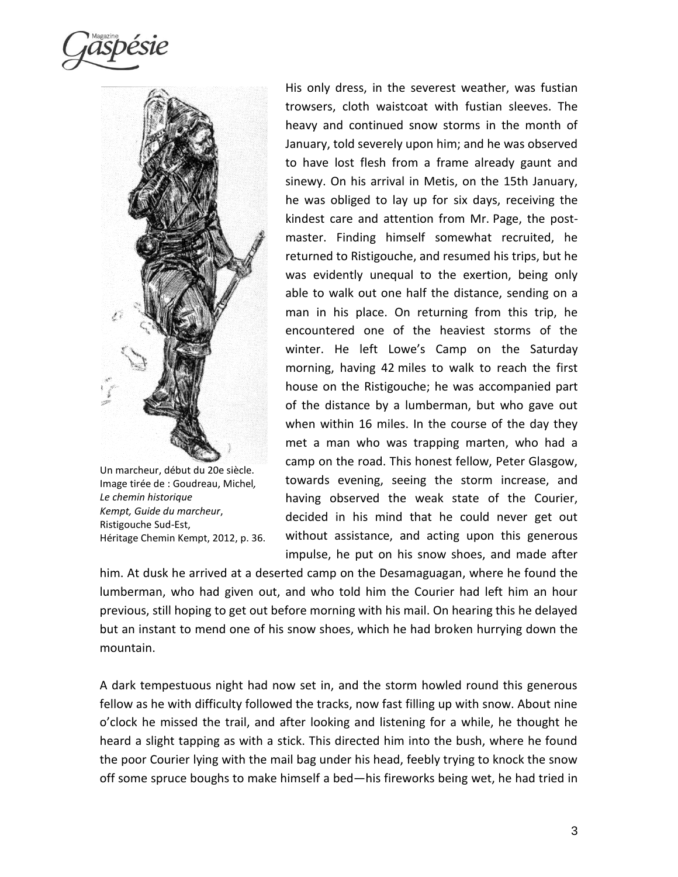

Un marcheur, début du 20e siècle. Image tirée de : Goudreau, Michel*, Le chemin historique Kempt, Guide du marcheur*, Ristigouche Sud-Est, Héritage Chemin Kempt, 2012, p. 36.

His only dress, in the severest weather, was fustian trowsers, cloth waistcoat with fustian sleeves. The heavy and continued snow storms in the month of January, told severely upon him; and he was observed to have lost flesh from a frame already gaunt and sinewy. On his arrival in Metis, on the 15th January, he was obliged to lay up for six days, receiving the kindest care and attention from Mr. Page, the postmaster. Finding himself somewhat recruited, he returned to Ristigouche, and resumed his trips, but he was evidently unequal to the exertion, being only able to walk out one half the distance, sending on a man in his place. On returning from this trip, he encountered one of the heaviest storms of the winter. He left Lowe's Camp on the Saturday morning, having 42 miles to walk to reach the first house on the Ristigouche; he was accompanied part of the distance by a lumberman, but who gave out when within 16 miles. In the course of the day they met a man who was trapping marten, who had a camp on the road. This honest fellow, Peter Glasgow, towards evening, seeing the storm increase, and having observed the weak state of the Courier, decided in his mind that he could never get out without assistance, and acting upon this generous impulse, he put on his snow shoes, and made after

him. At dusk he arrived at a deserted camp on the Desamaguagan, where he found the lumberman, who had given out, and who told him the Courier had left him an hour previous, still hoping to get out before morning with his mail. On hearing this he delayed but an instant to mend one of his snow shoes, which he had broken hurrying down the mountain.

A dark tempestuous night had now set in, and the storm howled round this generous fellow as he with difficulty followed the tracks, now fast filling up with snow. About nine o'clock he missed the trail, and after looking and listening for a while, he thought he heard a slight tapping as with a stick. This directed him into the bush, where he found the poor Courier lying with the mail bag under his head, feebly trying to knock the snow off some spruce boughs to make himself a bed—his fireworks being wet, he had tried in